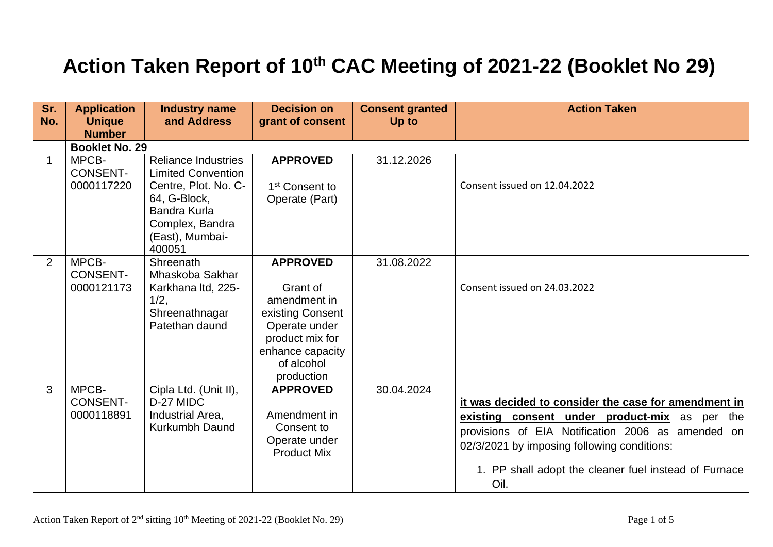## **Action Taken Report of 10th CAC Meeting of 2021-22 (Booklet No 29)**

| Sr.<br>No. | <b>Application</b><br><b>Unique</b><br><b>Number</b> | <b>Industry name</b><br>and Address                                                                                                                                    | <b>Decision on</b><br>grant of consent                                                                                                              | <b>Consent granted</b><br>Up to | <b>Action Taken</b>                                                                                                                                                                                                                                                           |
|------------|------------------------------------------------------|------------------------------------------------------------------------------------------------------------------------------------------------------------------------|-----------------------------------------------------------------------------------------------------------------------------------------------------|---------------------------------|-------------------------------------------------------------------------------------------------------------------------------------------------------------------------------------------------------------------------------------------------------------------------------|
|            | <b>Booklet No. 29</b>                                |                                                                                                                                                                        |                                                                                                                                                     |                                 |                                                                                                                                                                                                                                                                               |
| 1          | MPCB-<br><b>CONSENT-</b><br>0000117220               | <b>Reliance Industries</b><br><b>Limited Convention</b><br>Centre, Plot. No. C-<br>64, G-Block,<br><b>Bandra Kurla</b><br>Complex, Bandra<br>(East), Mumbai-<br>400051 | <b>APPROVED</b><br>1 <sup>st</sup> Consent to<br>Operate (Part)                                                                                     | 31.12.2026                      | Consent issued on 12.04.2022                                                                                                                                                                                                                                                  |
| 2          | MPCB-<br><b>CONSENT-</b><br>0000121173               | Shreenath<br>Mhaskoba Sakhar<br>Karkhana Itd, 225-<br>1/2,<br>Shreenathnagar<br>Patethan daund                                                                         | <b>APPROVED</b><br>Grant of<br>amendment in<br>existing Consent<br>Operate under<br>product mix for<br>enhance capacity<br>of alcohol<br>production | 31.08.2022                      | Consent issued on 24.03.2022                                                                                                                                                                                                                                                  |
| 3          | MPCB-<br><b>CONSENT-</b><br>0000118891               | Cipla Ltd. (Unit II),<br>D-27 MIDC<br>Industrial Area,<br><b>Kurkumbh Daund</b>                                                                                        | <b>APPROVED</b><br>Amendment in<br>Consent to<br>Operate under<br><b>Product Mix</b>                                                                | 30.04.2024                      | it was decided to consider the case for amendment in<br>existing consent under product-mix as per<br>the<br>provisions of EIA Notification 2006 as amended on<br>02/3/2021 by imposing following conditions:<br>1. PP shall adopt the cleaner fuel instead of Furnace<br>Oil. |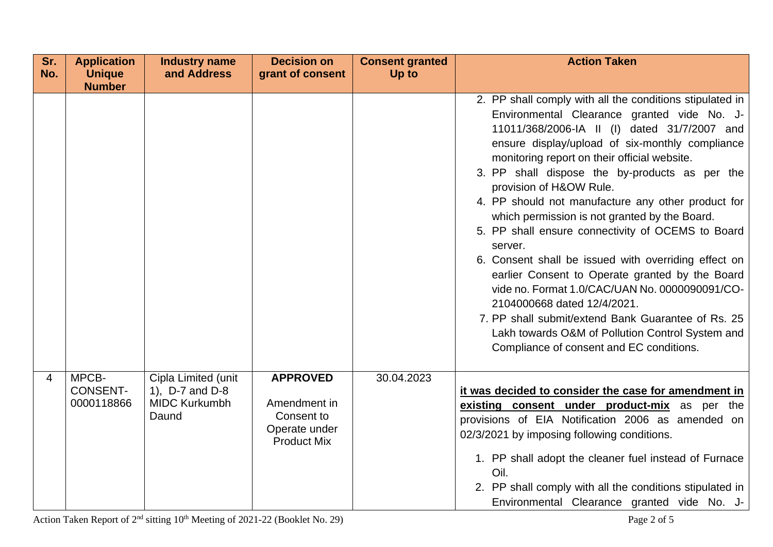| Sr. | <b>Application</b>                     | <b>Industry name</b>                                                    | <b>Decision on</b>                                                                   | <b>Consent granted</b> | <b>Action Taken</b>                                                                                                                                                                                                                                                                                                                                                                                                                                                                                                                                                                                                                                                                                                                                                                                                                                              |
|-----|----------------------------------------|-------------------------------------------------------------------------|--------------------------------------------------------------------------------------|------------------------|------------------------------------------------------------------------------------------------------------------------------------------------------------------------------------------------------------------------------------------------------------------------------------------------------------------------------------------------------------------------------------------------------------------------------------------------------------------------------------------------------------------------------------------------------------------------------------------------------------------------------------------------------------------------------------------------------------------------------------------------------------------------------------------------------------------------------------------------------------------|
| No. | <b>Unique</b><br><b>Number</b>         | and Address                                                             | grant of consent                                                                     | Up to                  |                                                                                                                                                                                                                                                                                                                                                                                                                                                                                                                                                                                                                                                                                                                                                                                                                                                                  |
|     |                                        |                                                                         |                                                                                      |                        | 2. PP shall comply with all the conditions stipulated in<br>Environmental Clearance granted vide No. J-<br>11011/368/2006-IA II (I) dated 31/7/2007 and<br>ensure display/upload of six-monthly compliance<br>monitoring report on their official website.<br>3. PP shall dispose the by-products as per the<br>provision of H&OW Rule.<br>4. PP should not manufacture any other product for<br>which permission is not granted by the Board.<br>5. PP shall ensure connectivity of OCEMS to Board<br>server.<br>6. Consent shall be issued with overriding effect on<br>earlier Consent to Operate granted by the Board<br>vide no. Format 1.0/CAC/UAN No. 0000090091/CO-<br>2104000668 dated 12/4/2021.<br>7. PP shall submit/extend Bank Guarantee of Rs. 25<br>Lakh towards O&M of Pollution Control System and<br>Compliance of consent and EC conditions. |
| 4   | MPCB-<br><b>CONSENT-</b><br>0000118866 | Cipla Limited (unit<br>1), D-7 and D-8<br><b>MIDC Kurkumbh</b><br>Daund | <b>APPROVED</b><br>Amendment in<br>Consent to<br>Operate under<br><b>Product Mix</b> | 30.04.2023             | it was decided to consider the case for amendment in<br>existing consent under product-mix as per the<br>provisions of EIA Notification 2006 as amended on<br>02/3/2021 by imposing following conditions.<br>1. PP shall adopt the cleaner fuel instead of Furnace<br>Oil.<br>2. PP shall comply with all the conditions stipulated in<br>Environmental Clearance granted vide No. J-                                                                                                                                                                                                                                                                                                                                                                                                                                                                            |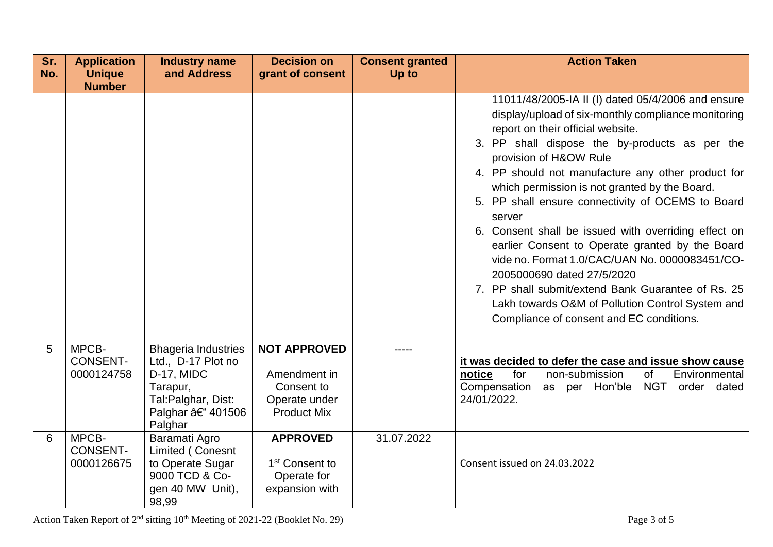| Sr.<br>No. | <b>Application</b><br><b>Unique</b>    | <b>Industry name</b><br>and Address                                                                                             | <b>Decision on</b><br>grant of consent                                                   | <b>Consent granted</b><br>Up to | <b>Action Taken</b>                                                                                                                                                                                                                                                                                                                                                                                                                                                                                                                                                                                                                                                                                                                               |
|------------|----------------------------------------|---------------------------------------------------------------------------------------------------------------------------------|------------------------------------------------------------------------------------------|---------------------------------|---------------------------------------------------------------------------------------------------------------------------------------------------------------------------------------------------------------------------------------------------------------------------------------------------------------------------------------------------------------------------------------------------------------------------------------------------------------------------------------------------------------------------------------------------------------------------------------------------------------------------------------------------------------------------------------------------------------------------------------------------|
|            | <b>Number</b>                          |                                                                                                                                 |                                                                                          |                                 | 11011/48/2005-IA II (I) dated 05/4/2006 and ensure<br>display/upload of six-monthly compliance monitoring<br>report on their official website.<br>3. PP shall dispose the by-products as per the<br>provision of H&OW Rule<br>4. PP should not manufacture any other product for<br>which permission is not granted by the Board.<br>5. PP shall ensure connectivity of OCEMS to Board<br>server<br>6. Consent shall be issued with overriding effect on<br>earlier Consent to Operate granted by the Board<br>vide no. Format 1.0/CAC/UAN No. 0000083451/CO-<br>2005000690 dated 27/5/2020<br>7. PP shall submit/extend Bank Guarantee of Rs. 25<br>Lakh towards O&M of Pollution Control System and<br>Compliance of consent and EC conditions. |
| 5          | MPCB-<br><b>CONSENT-</b><br>0000124758 | <b>Bhageria Industries</b><br>Ltd., D-17 Plot no<br>D-17, MIDC<br>Tarapur,<br>Tal: Palghar, Dist:<br>Palghar †401506<br>Palghar | <b>NOT APPROVED</b><br>Amendment in<br>Consent to<br>Operate under<br><b>Product Mix</b> | -----                           | it was decided to defer the case and issue show cause<br>notice<br><b>of</b><br>Environmental<br>for<br>non-submission<br>NGT order dated<br>Compensation<br>as per Hon'ble<br>24/01/2022.                                                                                                                                                                                                                                                                                                                                                                                                                                                                                                                                                        |
| 6          | MPCB-<br><b>CONSENT-</b><br>0000126675 | Baramati Agro<br>Limited (Conesnt<br>to Operate Sugar<br>9000 TCD & Co-<br>gen 40 MW Unit),<br>98,99                            | <b>APPROVED</b><br>1 <sup>st</sup> Consent to<br>Operate for<br>expansion with           | 31.07.2022                      | Consent issued on 24.03.2022                                                                                                                                                                                                                                                                                                                                                                                                                                                                                                                                                                                                                                                                                                                      |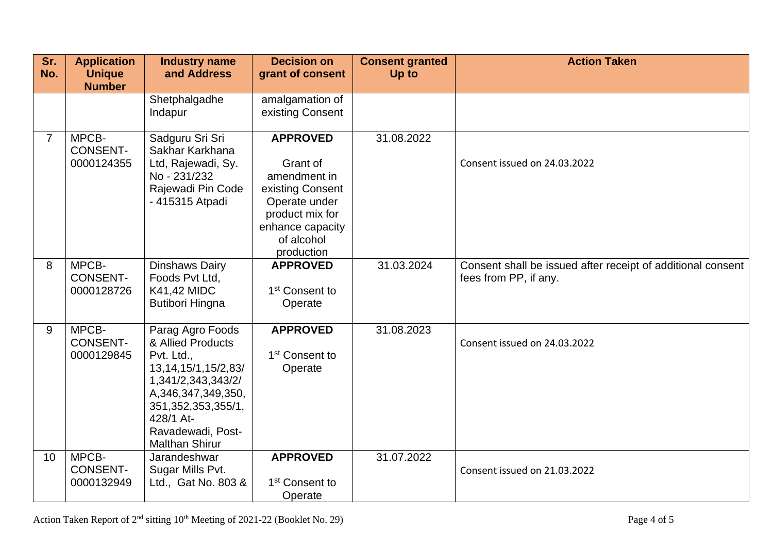| Sr.<br>No.     | <b>Application</b><br><b>Unique</b>    | <b>Industry name</b><br>and Address                                                                                                                                                                                | <b>Decision on</b><br>grant of consent                                                                                                              | <b>Consent granted</b><br>Up to | <b>Action Taken</b>                                                                  |
|----------------|----------------------------------------|--------------------------------------------------------------------------------------------------------------------------------------------------------------------------------------------------------------------|-----------------------------------------------------------------------------------------------------------------------------------------------------|---------------------------------|--------------------------------------------------------------------------------------|
|                | <b>Number</b>                          | Shetphalgadhe<br>Indapur                                                                                                                                                                                           | amalgamation of<br>existing Consent                                                                                                                 |                                 |                                                                                      |
| $\overline{7}$ | MPCB-<br><b>CONSENT-</b><br>0000124355 | Sadguru Sri Sri<br>Sakhar Karkhana<br>Ltd, Rajewadi, Sy.<br>No - 231/232<br>Rajewadi Pin Code<br>- 415315 Atpadi                                                                                                   | <b>APPROVED</b><br>Grant of<br>amendment in<br>existing Consent<br>Operate under<br>product mix for<br>enhance capacity<br>of alcohol<br>production | 31.08.2022                      | Consent issued on 24.03.2022                                                         |
| 8              | MPCB-<br><b>CONSENT-</b><br>0000128726 | Dinshaws Dairy<br>Foods Pvt Ltd,<br>K41,42 MIDC<br><b>Butibori Hingna</b>                                                                                                                                          | <b>APPROVED</b><br>1 <sup>st</sup> Consent to<br>Operate                                                                                            | 31.03.2024                      | Consent shall be issued after receipt of additional consent<br>fees from PP, if any. |
| 9              | MPCB-<br><b>CONSENT-</b><br>0000129845 | Parag Agro Foods<br>& Allied Products<br>Pvt. Ltd.,<br>13, 14, 15/1, 15/2, 83/<br>1,341/2,343,343/2/<br>A, 346, 347, 349, 350,<br>351, 352, 353, 355/1,<br>428/1 At-<br>Ravadewadi, Post-<br><b>Malthan Shirur</b> | <b>APPROVED</b><br>1 <sup>st</sup> Consent to<br>Operate                                                                                            | 31.08.2023                      | Consent issued on 24.03.2022                                                         |
| 10             | MPCB-<br><b>CONSENT-</b><br>0000132949 | Jarandeshwar<br>Sugar Mills Pvt.<br>Ltd., Gat No. 803 &                                                                                                                                                            | <b>APPROVED</b><br>1 <sup>st</sup> Consent to<br>Operate                                                                                            | 31.07.2022                      | Consent issued on 21.03.2022                                                         |